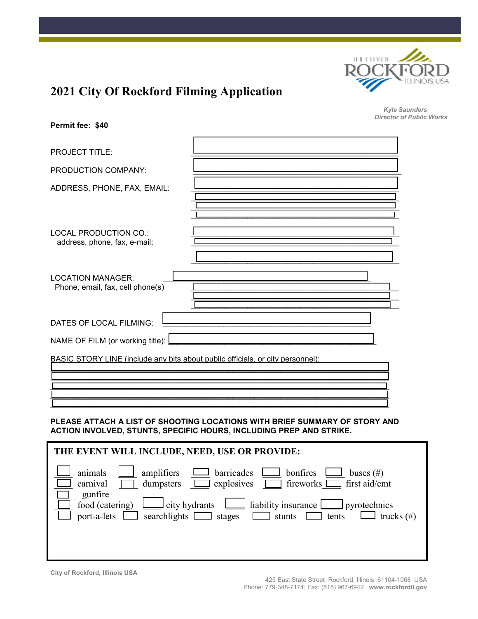

**Permit fee: \$40** 

*Kyle Saunders Director of Public Works*

| <b>PROJECT TITLE:</b>                                                          |  |  |  |  |
|--------------------------------------------------------------------------------|--|--|--|--|
| PRODUCTION COMPANY:                                                            |  |  |  |  |
| ADDRESS, PHONE, FAX, EMAIL:                                                    |  |  |  |  |
|                                                                                |  |  |  |  |
| LOCAL PRODUCTION CO.:<br>address, phone, fax, e-mail:                          |  |  |  |  |
| <b>LOCATION MANAGER:</b><br>Phone, email, fax, cell phone(s)                   |  |  |  |  |
| DATES OF LOCAL FILMING:                                                        |  |  |  |  |
| NAME OF FILM (or working title):                                               |  |  |  |  |
| BASIC STORY LINE (include any bits about public officials, or city personnel): |  |  |  |  |

### **PLEASE ATTACH A LIST OF SHOOTING LOCATIONS WITH BRIEF SUMMARY OF STORY AND ACTION INVOLVED, STUNTS, SPECIFIC HOURS, INCLUDING PREP AND STRIKE.**

\_\_\_\_\_\_\_\_\_\_\_\_\_\_\_\_\_\_\_\_\_\_\_\_\_\_\_\_\_\_\_\_\_\_\_\_\_\_\_\_\_\_\_\_\_\_\_\_\_\_\_\_\_\_\_\_\_\_\_\_\_\_\_\_\_\_\_\_\_\_\_\_\_\_\_\_\_\_ \_\_\_\_\_\_\_\_\_\_\_\_\_\_\_\_\_\_\_\_\_\_\_\_\_\_\_\_\_\_\_\_\_\_\_\_\_\_\_\_\_\_\_\_\_\_\_\_\_\_\_\_\_\_\_\_\_\_\_\_\_\_\_\_\_\_\_\_\_\_\_\_\_\_\_\_\_\_ \_\_\_\_\_\_\_\_\_\_\_\_\_\_\_\_\_\_\_\_\_\_\_\_\_\_\_\_\_\_\_\_\_\_\_\_\_\_\_\_\_\_\_\_\_\_\_\_\_\_\_\_\_\_\_\_\_\_\_\_\_\_\_\_\_\_\_\_\_\_\_\_\_\_\_\_\_\_ \_\_\_\_\_\_\_\_\_\_\_\_\_\_\_\_\_\_\_\_\_\_\_\_\_\_\_\_\_\_\_\_\_\_\_\_\_\_\_\_\_\_\_\_\_\_\_\_\_\_\_\_\_\_\_\_\_\_\_\_\_\_\_\_\_\_\_\_\_\_\_\_\_\_\_\_\_\_

| THE EVENT WILL INCLUDE, NEED, USE OR PROVIDE:                                                                                                                                                                                                                                                                                       |  |  |  |  |
|-------------------------------------------------------------------------------------------------------------------------------------------------------------------------------------------------------------------------------------------------------------------------------------------------------------------------------------|--|--|--|--|
| barricades<br>animals<br>bonfires<br>amplifiers<br>buses $(\#)$<br>fireworks <b>Interpretate</b> first aid/emt<br>$\Box$ explosives<br>dumpsters<br>carnival<br>gunfire<br>food (catering)<br>liability insurance<br>city hydrants<br>pyrotechnics<br>searchlights $\Box$ stages<br>port-a-lets<br>trucks $(\#)$<br>stunts<br>tents |  |  |  |  |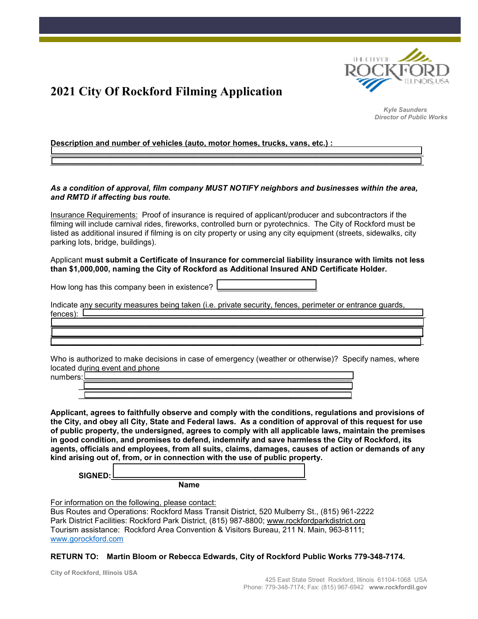

*Kyle Saunders Director of Public Works*

**Description and number of vehicles (auto, motor homes, trucks, vans, etc.) :** 

#### *As a condition of approval, film company MUST NOTIFY neighbors and businesses within the area, and RMTD if affecting bus route.*

\_\_\_\_\_\_\_\_\_\_\_\_\_\_\_\_\_\_\_\_\_\_\_\_\_\_\_\_\_\_\_\_\_\_\_\_\_\_\_\_\_\_\_\_\_\_\_\_\_\_\_\_\_\_\_\_\_\_\_\_\_\_\_\_\_\_\_\_\_\_\_\_\_\_\_\_\_\_\_\_\_\_\_\_\_\_ \_\_\_\_\_\_\_\_\_\_\_\_\_\_\_\_\_\_\_\_\_\_\_\_\_\_\_\_\_\_\_\_\_\_\_\_\_\_\_\_\_\_\_\_\_\_\_\_\_\_\_\_\_\_\_\_\_\_\_\_\_\_\_\_\_\_\_\_\_\_\_\_\_\_\_\_\_\_\_\_\_\_\_\_\_\_

Insurance Requirements: Proof of insurance is required of applicant/producer and subcontractors if the filming will include carnival rides, fireworks, controlled burn or pyrotechnics. The City of Rockford must be listed as additional insured if filming is on city property or using any city equipment (streets, sidewalks, city parking lots, bridge, buildings).

### Applicant **must submit a Certificate of Insurance for commercial liability insurance with limits not less than \$1,000,000, naming the City of Rockford as Additional Insured AND Certificate Holder.**

How long has this company been in existence?

Indicate any security measures being taken (i.e. private security, fences, perimeter or entrance guards, fences): \_\_\_\_\_\_\_\_\_\_\_\_\_\_\_\_\_\_\_\_\_\_\_\_\_\_\_\_\_\_\_\_\_\_\_\_\_\_\_\_\_\_\_\_\_\_\_\_\_\_\_\_\_\_\_\_\_\_\_\_\_\_\_\_\_\_\_\_\_\_\_\_\_\_\_\_\_\_\_

\_\_\_\_\_\_\_\_\_\_\_\_\_\_\_\_\_\_\_\_\_\_\_\_\_\_\_\_\_\_\_\_\_\_\_\_\_\_\_\_\_\_\_\_\_\_\_\_\_\_\_\_\_\_\_\_\_\_\_\_\_\_\_\_\_\_\_\_\_\_\_\_\_\_\_\_\_\_\_\_\_\_\_\_\_\_ \_\_\_\_\_\_\_\_\_\_\_\_\_\_\_\_\_\_\_\_\_\_\_\_\_\_\_\_\_\_\_\_\_\_\_\_\_\_\_\_\_\_\_\_\_\_\_\_\_\_\_\_\_\_\_\_\_\_\_\_\_\_\_\_\_\_\_\_\_\_\_\_\_\_\_\_\_\_\_\_\_\_\_\_\_\_  $\mathcal{L}_\text{max}$  and  $\mathcal{L}_\text{max}$  and  $\mathcal{L}_\text{max}$  and  $\mathcal{L}_\text{max}$  and  $\mathcal{L}_\text{max}$  and  $\mathcal{L}_\text{max}$ 

Who is authorized to make decisions in case of emergency (weather or otherwise)? Specify names, where located during event and phone

 $\overline{\phantom{a}}$  , and the contract of the contract of the contract of the contract of the contract of the contract of the contract of the contract of the contract of the contract of the contract of the contract of the contrac **Applicant, agrees to faithfully observe and comply with the conditions, regulations and provisions of the City, and obey all City, State and Federal laws. As a condition of approval of this request for use of public property, the undersigned, agrees to comply with all applicable laws, maintain the premises in good condition, and promises to defend, indemnify and save harmless the City of Rockford, its agents, officials and employees, from all suits, claims, damages, causes of action or demands of any kind arising out of, from, or in connection with the use of public property.** 

 **SIGNED:\_\_\_\_\_\_\_\_\_\_\_\_\_\_\_\_\_\_\_\_\_\_\_\_\_\_\_\_\_\_\_\_\_\_\_\_\_\_\_\_\_\_\_\_\_** 

 **Name** 

For information on the following, please contact:

Bus Routes and Operations: Rockford Mass Transit District, 520 Mulberry St., (815) 961-2222 Park District Facilities: Rockford Park District, (815) 987-8800; www.rockfordparkdistrict.org Tourism assistance: Rockford Area Convention & Visitors Bureau, 211 N. Main, 963-8111; www.gorockford.com

### **RETURN TO: Martin Bloom or Rebecca Edwards, City of Rockford Public Works 779-348-7174.**

**City of Rockford, Illinois USA**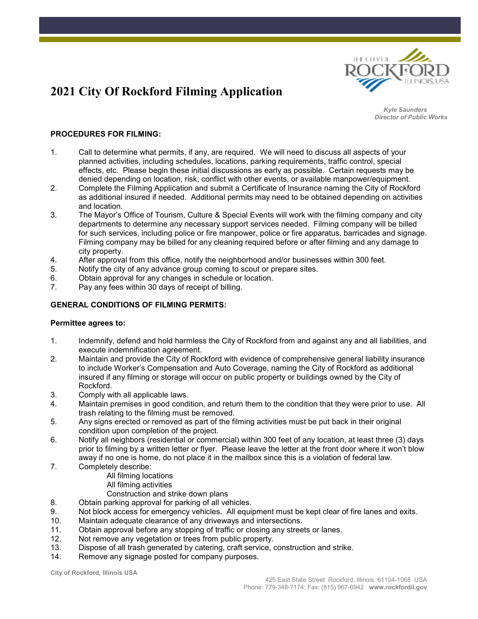

*Kyle Saunders Director of Public Works*

### **PROCEDURES FOR FILMING:**

- 1. Call to determine what permits, if any, are required. We will need to discuss all aspects of your planned activities, including schedules, locations, parking requirements, traffic control, special effects, etc. Please begin these initial discussions as early as possible. Certain requests may be denied depending on location, risk, conflict with other events, or available manpower/equipment.
- 2. Complete the Filming Application and submit a Certificate of Insurance naming the City of Rockford as additional insured if needed. Additional permits may need to be obtained depending on activities and location.
- 3. The Mayor's Office of Tourism, Culture & Special Events will work with the filming company and city departments to determine any necessary support services needed. Filming company will be billed for such services, including police or fire manpower, police or fire apparatus, barricades and signage. Filming company may be billed for any cleaning required before or after filming and any damage to city property.
- 4. After approval from this office, notify the neighborhood and/or businesses within 300 feet.
- 5. Notify the city of any advance group coming to scout or prepare sites.
- 6. Obtain approval for any changes in schedule or location.
- 7. Pay any fees within 30 days of receipt of billing.

#### **GENERAL CONDITIONS OF FILMING PERMITS:**

#### **Permittee agrees to:**

- 1. Indemnify, defend and hold harmless the City of Rockford from and against any and all liabilities, and execute indemnification agreement.
- 2. Maintain and provide the City of Rockford with evidence of comprehensive general liability insurance to include Worker's Compensation and Auto Coverage, naming the City of Rockford as additional insured if any filming or storage will occur on public property or buildings owned by the City of Rockford.
- 3. Comply with all applicable laws.
- 4. Maintain premises in good condition, and return them to the condition that they were prior to use. All trash relating to the filming must be removed.
- 5. Any signs erected or removed as part of the filming activities must be put back in their original condition upon completion of the project.
- 6. Notify all neighbors (residential or commercial) within 300 feet of any location, at least three (3) days prior to filming by a written letter or flyer. Please leave the letter at the front door where it won't blow away if no one is home, do not place it in the mailbox since this is a violation of federal law.
- 7. Completely describe:
	- All filming locations
	- All filming activities
	- Construction and strike down plans
- 8. Obtain parking approval for parking of all vehicles.
- 9. Not block access for emergency vehicles. All equipment must be kept clear of fire lanes and exits.
- 10. Maintain adequate clearance of any driveways and intersections.
- 11. Obtain approval before any stopping of traffic or closing any streets or lanes.
- 12. Not remove any vegetation or trees from public property.
- 13. Dispose of all trash generated by catering, craft service, construction and strike.<br>14. Remove any signage posted for company purposes.
- Remove any signage posted for company purposes.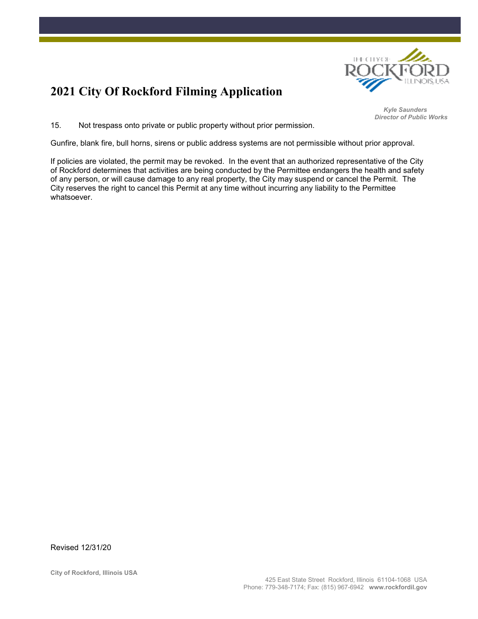

*Kyle Saunders Director of Public Works*

15. Not trespass onto private or public property without prior permission.

Gunfire, blank fire, bull horns, sirens or public address systems are not permissible without prior approval.

If policies are violated, the permit may be revoked. In the event that an authorized representative of the City of Rockford determines that activities are being conducted by the Permittee endangers the health and safety of any person, or will cause damage to any real property, the City may suspend or cancel the Permit. The City reserves the right to cancel this Permit at any time without incurring any liability to the Permittee whatsoever.

Revised 12/31/20

**City of Rockford, Illinois USA**